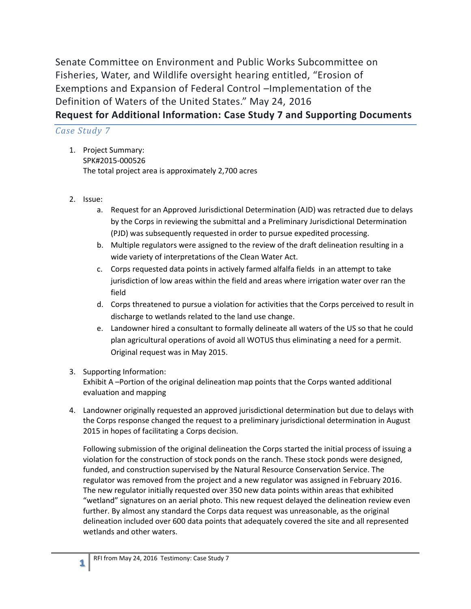Senate Committee on Environment and Public Works Subcommittee on Fisheries, Water, and Wildlife oversight hearing entitled, "Erosion of Exemptions and Expansion of Federal Control –Implementation of the Definition of Waters of the United States." May 24, 2016 **Request for Additional Information: Case Study 7 and Supporting Documents**

## *Case Study 7*

- 1. Project Summary: SPK#2015-000526 The total project area is approximately 2,700 acres
- 2. Issue:
	- a. Request for an Approved Jurisdictional Determination (AJD) was retracted due to delays by the Corps in reviewing the submittal and a Preliminary Jurisdictional Determination (PJD) was subsequently requested in order to pursue expedited processing.
	- b. Multiple regulators were assigned to the review of the draft delineation resulting in a wide variety of interpretations of the Clean Water Act.
	- c. Corps requested data points in actively farmed alfalfa fields in an attempt to take jurisdiction of low areas within the field and areas where irrigation water over ran the field
	- d. Corps threatened to pursue a violation for activities that the Corps perceived to result in discharge to wetlands related to the land use change.
	- e. Landowner hired a consultant to formally delineate all waters of the US so that he could plan agricultural operations of avoid all WOTUS thus eliminating a need for a permit. Original request was in May 2015.
- 3. Supporting Information: Exhibit A –Portion of the original delineation map points that the Corps wanted additional evaluation and mapping
- 4. Landowner originally requested an approved jurisdictional determination but due to delays with the Corps response changed the request to a preliminary jurisdictional determination in August 2015 in hopes of facilitating a Corps decision.

Following submission of the original delineation the Corps started the initial process of issuing a violation for the construction of stock ponds on the ranch. These stock ponds were designed, funded, and construction supervised by the Natural Resource Conservation Service. The regulator was removed from the project and a new regulator was assigned in February 2016. The new regulator initially requested over 350 new data points within areas that exhibited "wetland" signatures on an aerial photo. This new request delayed the delineation review even further. By almost any standard the Corps data request was unreasonable, as the original delineation included over 600 data points that adequately covered the site and all represented wetlands and other waters.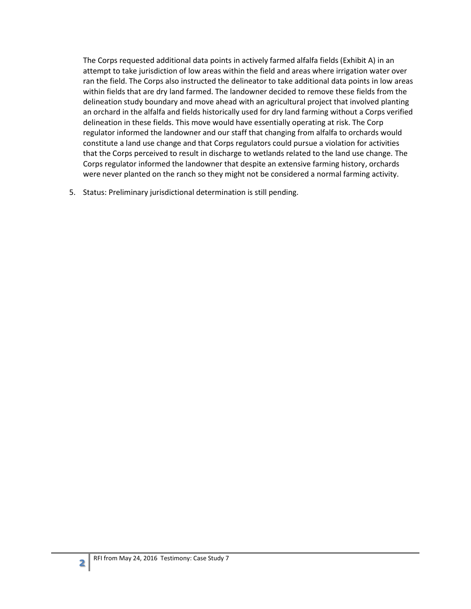The Corps requested additional data points in actively farmed alfalfa fields (Exhibit A) in an attempt to take jurisdiction of low areas within the field and areas where irrigation water over ran the field. The Corps also instructed the delineator to take additional data points in low areas within fields that are dry land farmed. The landowner decided to remove these fields from the delineation study boundary and move ahead with an agricultural project that involved planting an orchard in the alfalfa and fields historically used for dry land farming without a Corps verified delineation in these fields. This move would have essentially operating at risk. The Corp regulator informed the landowner and our staff that changing from alfalfa to orchards would constitute a land use change and that Corps regulators could pursue a violation for activities that the Corps perceived to result in discharge to wetlands related to the land use change. The Corps regulator informed the landowner that despite an extensive farming history, orchards were never planted on the ranch so they might not be considered a normal farming activity.

5. Status: Preliminary jurisdictional determination is still pending.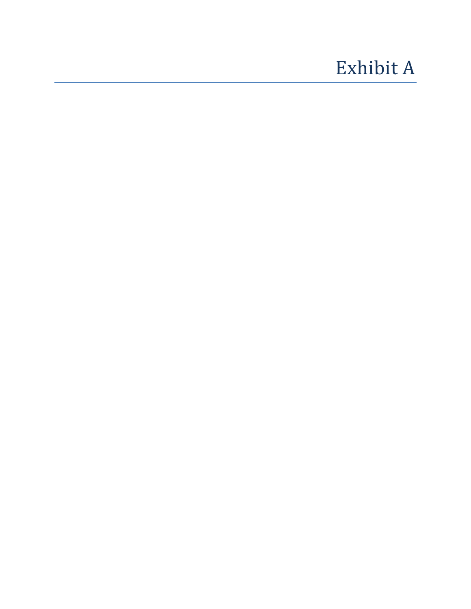## Exhibit A